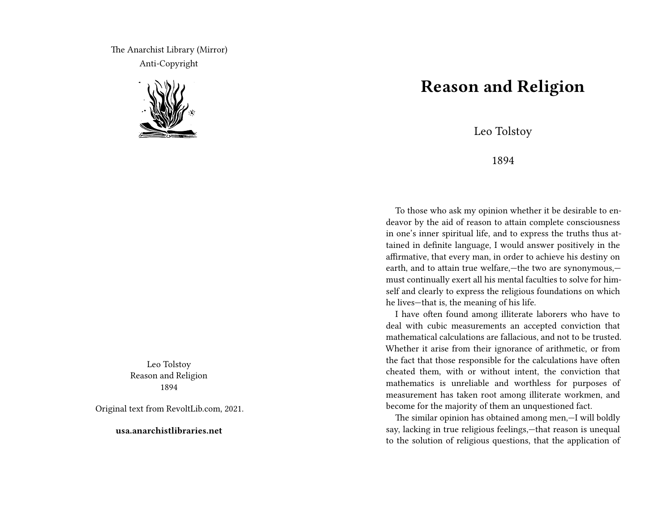The Anarchist Library (Mirror) Anti-Copyright



Leo Tolstoy Reason and Religion 1894

Original text from RevoltLib.com, 2021.

**usa.anarchistlibraries.net**

## **Reason and Religion**

Leo Tolstoy

1894

To those who ask my opinion whether it be desirable to endeavor by the aid of reason to attain complete consciousness in one's inner spiritual life, and to express the truths thus attained in definite language, I would answer positively in the affirmative, that every man, in order to achieve his destiny on earth, and to attain true welfare,—the two are synonymous, must continually exert all his mental faculties to solve for himself and clearly to express the religious foundations on which he lives—that is, the meaning of his life.

I have often found among illiterate laborers who have to deal with cubic measurements an accepted conviction that mathematical calculations are fallacious, and not to be trusted. Whether it arise from their ignorance of arithmetic, or from the fact that those responsible for the calculations have often cheated them, with or without intent, the conviction that mathematics is unreliable and worthless for purposes of measurement has taken root among illiterate workmen, and become for the majority of them an unquestioned fact.

The similar opinion has obtained among men,—I will boldly say, lacking in true religious feelings,—that reason is unequal to the solution of religious questions, that the application of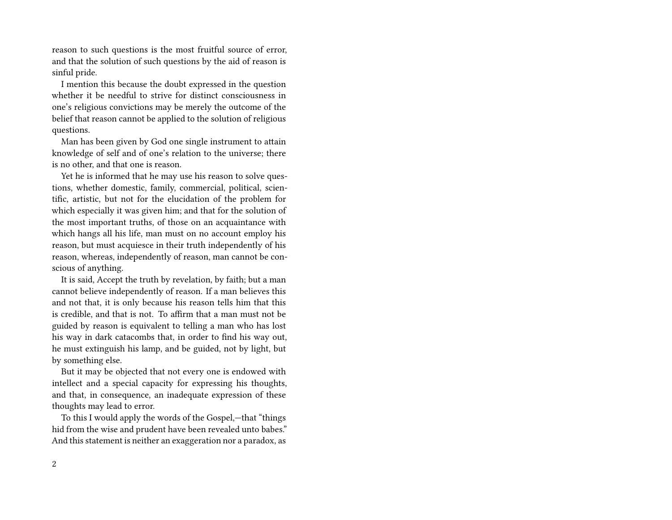reason to such questions is the most fruitful source of error, and that the solution of such questions by the aid of reason is sinful pride.

I mention this because the doubt expressed in the question whether it be needful to strive for distinct consciousness in one's religious convictions may be merely the outcome of the belief that reason cannot be applied to the solution of religious questions.

Man has been given by God one single instrument to attain knowledge of self and of one's relation to the universe; there is no other, and that one is reason.

Yet he is informed that he may use his reason to solve questions, whether domestic, family, commercial, political, scientific, artistic, but not for the elucidation of the problem for which especially it was given him; and that for the solution of the most important truths, of those on an acquaintance with which hangs all his life, man must on no account employ his reason, but must acquiesce in their truth independently of his reason, whereas, independently of reason, man cannot be conscious of anything.

It is said, Accept the truth by revelation, by faith; but a man cannot believe independently of reason. If a man believes this and not that, it is only because his reason tells him that this is credible, and that is not. To affirm that a man must not be guided by reason is equivalent to telling a man who has lost his way in dark catacombs that, in order to find his way out, he must extinguish his lamp, and be guided, not by light, but by something else.

But it may be objected that not every one is endowed with intellect and a special capacity for expressing his thoughts, and that, in consequence, an inadequate expression of these thoughts may lead to error.

To this I would apply the words of the Gospel,—that "things hid from the wise and prudent have been revealed unto babes." And this statement is neither an exaggeration nor a paradox, as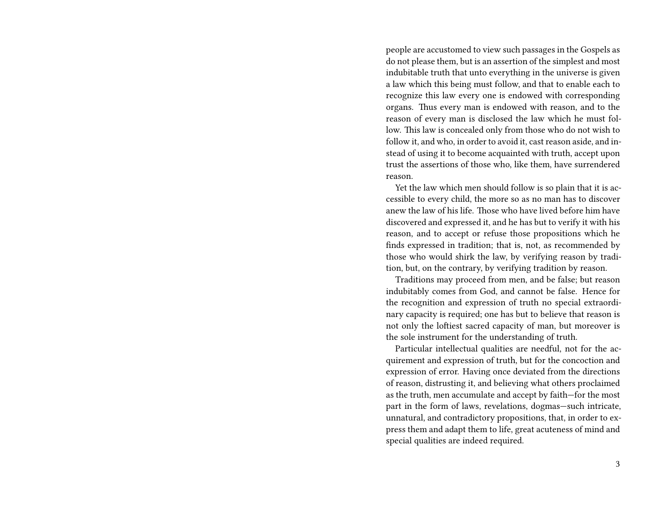people are accustomed to view such passages in the Gospels as do not please them, but is an assertion of the simplest and most indubitable truth that unto everything in the universe is given a law which this being must follow, and that to enable each to recognize this law every one is endowed with corresponding organs. Thus every man is endowed with reason, and to the reason of every man is disclosed the law which he must follow. This law is concealed only from those who do not wish to follow it, and who, in order to avoid it, cast reason aside, and instead of using it to become acquainted with truth, accept upon trust the assertions of those who, like them, have surrendered reason.

Yet the law which men should follow is so plain that it is accessible to every child, the more so as no man has to discover anew the law of his life. Those who have lived before him have discovered and expressed it, and he has but to verify it with his reason, and to accept or refuse those propositions which he finds expressed in tradition; that is, not, as recommended by those who would shirk the law, by verifying reason by tradition, but, on the contrary, by verifying tradition by reason.

Traditions may proceed from men, and be false; but reason indubitably comes from God, and cannot be false. Hence for the recognition and expression of truth no special extraordinary capacity is required; one has but to believe that reason is not only the loftiest sacred capacity of man, but moreover is the sole instrument for the understanding of truth.

Particular intellectual qualities are needful, not for the acquirement and expression of truth, but for the concoction and expression of error. Having once deviated from the directions of reason, distrusting it, and believing what others proclaimed as the truth, men accumulate and accept by faith—for the most part in the form of laws, revelations, dogmas—such intricate, unnatural, and contradictory propositions, that, in order to express them and adapt them to life, great acuteness of mind and special qualities are indeed required.